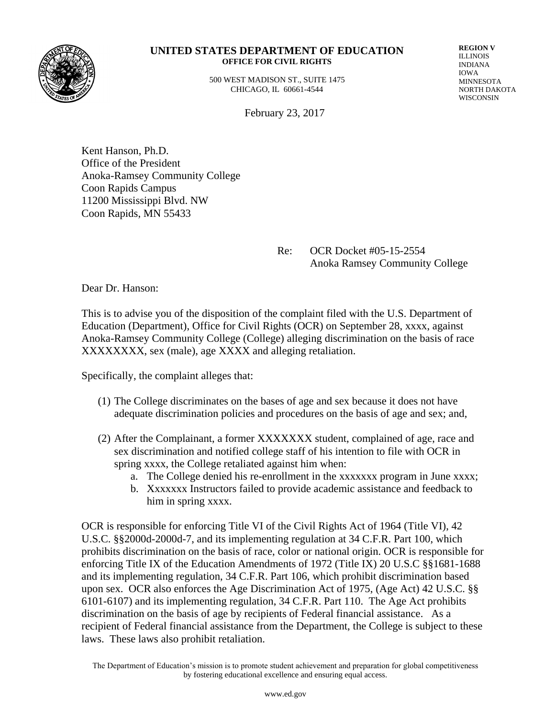

#### **UNITED STATES DEPARTMENT OF EDUCATION OFFICE FOR CIVIL RIGHTS**

 500 WEST MADISON ST., SUITE 1475 CHICAGO, IL 60661-4544

**REGION V** ILLINOIS INDIANA IOWA MINNESOTA NORTH DAKOTA WISCONSIN

February 23, 2017

Kent Hanson, Ph.D. Office of the President Anoka-Ramsey Community College Coon Rapids Campus 11200 Mississippi Blvd. NW Coon Rapids, MN 55433

> Re: OCR Docket #05-15-2554 Anoka Ramsey Community College

Dear Dr. Hanson:

This is to advise you of the disposition of the complaint filed with the U.S. Department of Education (Department), Office for Civil Rights (OCR) on September 28, xxxx, against Anoka-Ramsey Community College (College) alleging discrimination on the basis of race XXXXXXXX, sex (male), age XXXX and alleging retaliation.

Specifically, the complaint alleges that:

- (1) The College discriminates on the bases of age and sex because it does not have adequate discrimination policies and procedures on the basis of age and sex; and,
- (2) After the Complainant, a former XXXXXXX student, complained of age, race and sex discrimination and notified college staff of his intention to file with OCR in spring xxxx, the College retaliated against him when:
	- a. The College denied his re-enrollment in the xxxxxxx program in June xxxx;
	- b. Xxxxxxx Instructors failed to provide academic assistance and feedback to him in spring xxxx.

OCR is responsible for enforcing Title VI of the Civil Rights Act of 1964 (Title VI), 42 U.S.C. §§2000d-2000d-7, and its implementing regulation at 34 C.F.R. Part 100, which prohibits discrimination on the basis of race, color or national origin. OCR is responsible for enforcing Title IX of the Education Amendments of 1972 (Title IX) 20 U.S.C §§1681-1688 and its implementing regulation, 34 C.F.R. Part 106, which prohibit discrimination based upon sex. OCR also enforces the Age Discrimination Act of 1975, (Age Act) 42 U.S.C. §§ 6101-6107) and its implementing regulation, 34 C.F.R. Part 110. The Age Act prohibits discrimination on the basis of age by recipients of Federal financial assistance. As a recipient of Federal financial assistance from the Department, the College is subject to these laws. These laws also prohibit retaliation.

The Department of Education's mission is to promote student achievement and preparation for global competitiveness by fostering educational excellence and ensuring equal access.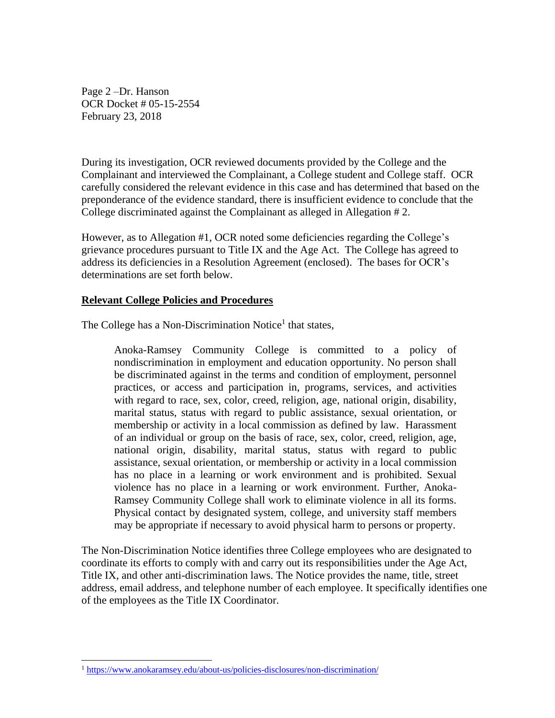Page 2 –Dr. Hanson OCR Docket # 05-15-2554 February 23, 2018

During its investigation, OCR reviewed documents provided by the College and the Complainant and interviewed the Complainant, a College student and College staff. OCR carefully considered the relevant evidence in this case and has determined that based on the preponderance of the evidence standard, there is insufficient evidence to conclude that the College discriminated against the Complainant as alleged in Allegation # 2.

However, as to Allegation #1, OCR noted some deficiencies regarding the College's grievance procedures pursuant to Title IX and the Age Act. The College has agreed to address its deficiencies in a Resolution Agreement (enclosed). The bases for OCR's determinations are set forth below.

### **Relevant College Policies and Procedures**

The College has a Non-Discrimination Notice<sup>1</sup> that states,

Anoka-Ramsey Community College is committed to a policy of nondiscrimination in employment and education opportunity. No person shall be discriminated against in the terms and condition of employment, personnel practices, or access and participation in, programs, services, and activities with regard to race, sex, color, creed, religion, age, national origin, disability, marital status, status with regard to public assistance, sexual orientation, or membership or activity in a local commission as defined by law. Harassment of an individual or group on the basis of race, sex, color, creed, religion, age, national origin, disability, marital status, status with regard to public assistance, sexual orientation, or membership or activity in a local commission has no place in a learning or work environment and is prohibited. Sexual violence has no place in a learning or work environment. Further, Anoka-Ramsey Community College shall work to eliminate violence in all its forms. Physical contact by designated system, college, and university staff members may be appropriate if necessary to avoid physical harm to persons or property.

The Non-Discrimination Notice identifies three College employees who are designated to coordinate its efforts to comply with and carry out its responsibilities under the Age Act, Title IX, and other anti-discrimination laws. The Notice provides the name, title, street address, email address, and telephone number of each employee. It specifically identifies one of the employees as the Title IX Coordinator.

 $\overline{a}$ 

<sup>1</sup> <https://www.anokaramsey.edu/about-us/policies-disclosures/non-discrimination/>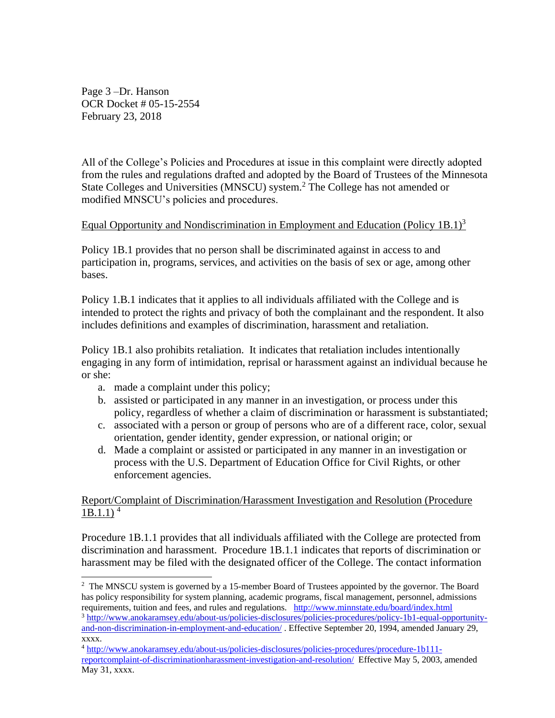Page 3 –Dr. Hanson OCR Docket # 05-15-2554 February 23, 2018

All of the College's Policies and Procedures at issue in this complaint were directly adopted from the rules and regulations drafted and adopted by the Board of Trustees of the Minnesota State Colleges and Universities (MNSCU) system.<sup>2</sup> The College has not amended or modified MNSCU's policies and procedures.

## Equal Opportunity and Nondiscrimination in Employment and Education (Policy 1B.1)<sup>3</sup>

Policy 1B.1 provides that no person shall be discriminated against in access to and participation in, programs, services, and activities on the basis of sex or age, among other bases.

Policy 1.B.1 indicates that it applies to all individuals affiliated with the College and is intended to protect the rights and privacy of both the complainant and the respondent. It also includes definitions and examples of discrimination, harassment and retaliation.

Policy 1B.1 also prohibits retaliation. It indicates that retaliation includes intentionally engaging in any form of intimidation, reprisal or harassment against an individual because he or she:

- a. made a complaint under this policy;
- b. assisted or participated in any manner in an investigation, or process under this policy, regardless of whether a claim of discrimination or harassment is substantiated;
- c. associated with a person or group of persons who are of a different race, color, sexual orientation, gender identity, gender expression, or national origin; or
- d. Made a complaint or assisted or participated in any manner in an investigation or process with the U.S. Department of Education Office for Civil Rights, or other enforcement agencies.

## Report/Complaint of Discrimination/Harassment Investigation and Resolution (Procedure  $1B.1.1$ )<sup>4</sup>

Procedure 1B.1.1 provides that all individuals affiliated with the College are protected from discrimination and harassment. Procedure 1B.1.1 indicates that reports of discrimination or harassment may be filed with the designated officer of the College. The contact information

 $\overline{a}$ <sup>2</sup> The MNSCU system is governed by a 15-member Board of Trustees appointed by the governor. The Board has policy responsibility for system planning, academic programs, fiscal management, personnel, admissions requirements, tuition and fees, and rules and regulations. <http://www.minnstate.edu/board/index.html>

<sup>3</sup> [http://www.anokaramsey.edu/about-us/policies-disclosures/policies-procedures/policy-1b1-equal-opportunity](http://www.anokaramsey.edu/about-us/policies-disclosures/policies-procedures/policy-1b1-equal-opportunity-and-non-discrimination-in-employment-and-education/)[and-non-discrimination-in-employment-and-education/](http://www.anokaramsey.edu/about-us/policies-disclosures/policies-procedures/policy-1b1-equal-opportunity-and-non-discrimination-in-employment-and-education/) . Effective September 20, 1994, amended January 29, xxxx.

<sup>4</sup> [http://www.anokaramsey.edu/about-us/policies-disclosures/policies-procedures/procedure-1b111](http://www.anokaramsey.edu/about-us/policies-disclosures/policies-procedures/procedure-1b111-reportcomplaint-of-discriminationharassment-investigation-and-resolution/) [reportcomplaint-of-discriminationharassment-investigation-and-resolution/](http://www.anokaramsey.edu/about-us/policies-disclosures/policies-procedures/procedure-1b111-reportcomplaint-of-discriminationharassment-investigation-and-resolution/) Effective May 5, 2003, amended May 31, xxxx.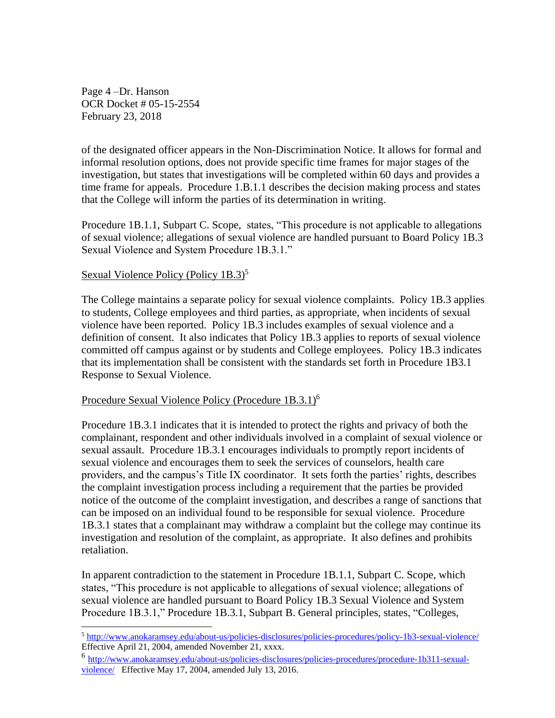Page 4 –Dr. Hanson OCR Docket # 05-15-2554 February 23, 2018

of the designated officer appears in the Non-Discrimination Notice. It allows for formal and informal resolution options, does not provide specific time frames for major stages of the investigation, but states that investigations will be completed within 60 days and provides a time frame for appeals. Procedure 1.B.1.1 describes the decision making process and states that the College will inform the parties of its determination in writing.

Procedure 1B.1.1, Subpart C. Scope, states, "This procedure is not applicable to allegations of sexual violence; allegations of sexual violence are handled pursuant to Board Policy 1B.3 Sexual Violence and System Procedure 1B.3.1."

# Sexual Violence Policy (Policy 1B.3)<sup>5</sup>

 $\overline{a}$ 

The College maintains a separate policy for sexual violence complaints. Policy 1B.3 applies to students, College employees and third parties, as appropriate, when incidents of sexual violence have been reported. Policy 1B.3 includes examples of sexual violence and a definition of consent. It also indicates that Policy 1B.3 applies to reports of sexual violence committed off campus against or by students and College employees. Policy 1B.3 indicates that its implementation shall be consistent with the standards set forth in Procedure 1B3.1 Response to Sexual Violence.

## Procedure Sexual Violence Policy (Procedure 1B.3.1)<sup>6</sup>

Procedure 1B.3.1 indicates that it is intended to protect the rights and privacy of both the complainant, respondent and other individuals involved in a complaint of sexual violence or sexual assault. Procedure 1B.3.1 encourages individuals to promptly report incidents of sexual violence and encourages them to seek the services of counselors, health care providers, and the campus's Title IX coordinator. It sets forth the parties' rights, describes the complaint investigation process including a requirement that the parties be provided notice of the outcome of the complaint investigation, and describes a range of sanctions that can be imposed on an individual found to be responsible for sexual violence. Procedure 1B.3.1 states that a complainant may withdraw a complaint but the college may continue its investigation and resolution of the complaint, as appropriate. It also defines and prohibits retaliation.

In apparent contradiction to the statement in Procedure 1B.1.1, Subpart C. Scope, which states, "This procedure is not applicable to allegations of sexual violence; allegations of sexual violence are handled pursuant to Board Policy 1B.3 Sexual Violence and System Procedure 1B.3.1," Procedure 1B.3.1, Subpart B. General principles, states, "Colleges,

<sup>5</sup> <http://www.anokaramsey.edu/about-us/policies-disclosures/policies-procedures/policy-1b3-sexual-violence/> Effective April 21, 2004, amended November 21, xxxx.

<sup>6</sup> [http://www.anokaramsey.edu/about-us/policies-disclosures/policies-procedures/procedure-1b311-sexual](http://www.anokaramsey.edu/about-us/policies-disclosures/policies-procedures/procedure-1b311-sexual-violence/)[violence/](http://www.anokaramsey.edu/about-us/policies-disclosures/policies-procedures/procedure-1b311-sexual-violence/) Effective May 17, 2004, amended July 13, 2016.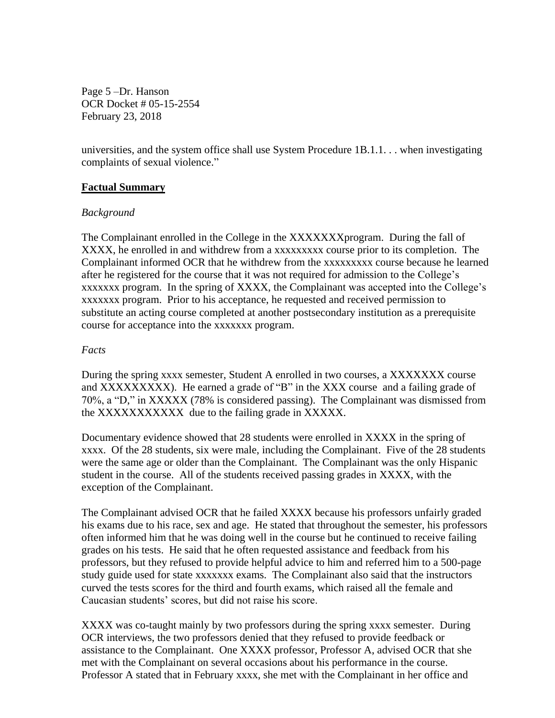Page 5 –Dr. Hanson OCR Docket # 05-15-2554 February 23, 2018

universities, and the system office shall use System Procedure 1B.1.1. . . when investigating complaints of sexual violence."

### **Factual Summary**

#### *Background*

The Complainant enrolled in the College in the XXXXXXX program. During the fall of XXXX, he enrolled in and withdrew from a xxxxxxxxx course prior to its completion. The Complainant informed OCR that he withdrew from the xxxxxxxxx course because he learned after he registered for the course that it was not required for admission to the College's xxxxxxx program. In the spring of XXXX, the Complainant was accepted into the College's xxxxxxx program. Prior to his acceptance, he requested and received permission to substitute an acting course completed at another postsecondary institution as a prerequisite course for acceptance into the xxxxxxx program.

### *Facts*

During the spring xxxx semester, Student A enrolled in two courses, a XXXXXXX course and XXXXXXXXX). He earned a grade of "B" in the XXX course and a failing grade of 70%, a "D," in XXXXX (78% is considered passing). The Complainant was dismissed from the XXXXXXXXXXX due to the failing grade in XXXXX.

Documentary evidence showed that 28 students were enrolled in XXXX in the spring of xxxx. Of the 28 students, six were male, including the Complainant. Five of the 28 students were the same age or older than the Complainant. The Complainant was the only Hispanic student in the course. All of the students received passing grades in XXXX, with the exception of the Complainant.

The Complainant advised OCR that he failed XXXX because his professors unfairly graded his exams due to his race, sex and age. He stated that throughout the semester, his professors often informed him that he was doing well in the course but he continued to receive failing grades on his tests. He said that he often requested assistance and feedback from his professors, but they refused to provide helpful advice to him and referred him to a 500-page study guide used for state xxxxxxx exams. The Complainant also said that the instructors curved the tests scores for the third and fourth exams, which raised all the female and Caucasian students' scores, but did not raise his score.

XXXX was co-taught mainly by two professors during the spring xxxx semester. During OCR interviews, the two professors denied that they refused to provide feedback or assistance to the Complainant. One XXXX professor, Professor A, advised OCR that she met with the Complainant on several occasions about his performance in the course. Professor A stated that in February xxxx, she met with the Complainant in her office and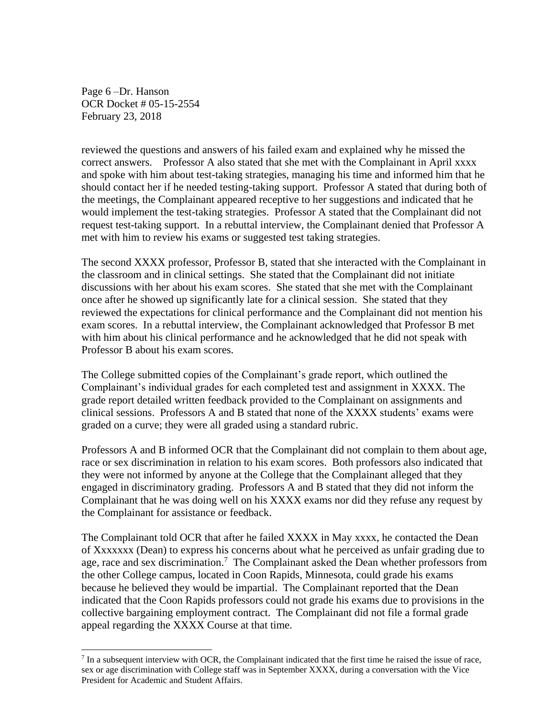Page 6 –Dr. Hanson OCR Docket # 05-15-2554 February 23, 2018

reviewed the questions and answers of his failed exam and explained why he missed the correct answers. Professor A also stated that she met with the Complainant in April xxxx and spoke with him about test-taking strategies, managing his time and informed him that he should contact her if he needed testing-taking support. Professor A stated that during both of the meetings, the Complainant appeared receptive to her suggestions and indicated that he would implement the test-taking strategies. Professor A stated that the Complainant did not request test-taking support. In a rebuttal interview, the Complainant denied that Professor A met with him to review his exams or suggested test taking strategies.

The second XXXX professor, Professor B, stated that she interacted with the Complainant in the classroom and in clinical settings. She stated that the Complainant did not initiate discussions with her about his exam scores. She stated that she met with the Complainant once after he showed up significantly late for a clinical session. She stated that they reviewed the expectations for clinical performance and the Complainant did not mention his exam scores. In a rebuttal interview, the Complainant acknowledged that Professor B met with him about his clinical performance and he acknowledged that he did not speak with Professor B about his exam scores.

The College submitted copies of the Complainant's grade report, which outlined the Complainant's individual grades for each completed test and assignment in XXXX. The grade report detailed written feedback provided to the Complainant on assignments and clinical sessions. Professors A and B stated that none of the XXXX students' exams were graded on a curve; they were all graded using a standard rubric.

Professors A and B informed OCR that the Complainant did not complain to them about age, race or sex discrimination in relation to his exam scores. Both professors also indicated that they were not informed by anyone at the College that the Complainant alleged that they engaged in discriminatory grading. Professors A and B stated that they did not inform the Complainant that he was doing well on his XXXX exams nor did they refuse any request by the Complainant for assistance or feedback.

The Complainant told OCR that after he failed XXXX in May xxxx, he contacted the Dean of Xxxxxxx (Dean) to express his concerns about what he perceived as unfair grading due to age, race and sex discrimination.<sup>7</sup> The Complainant asked the Dean whether professors from the other College campus, located in Coon Rapids, Minnesota, could grade his exams because he believed they would be impartial. The Complainant reported that the Dean indicated that the Coon Rapids professors could not grade his exams due to provisions in the collective bargaining employment contract. The Complainant did not file a formal grade appeal regarding the XXXX Course at that time.

 $\overline{a}$  $<sup>7</sup>$  In a subsequent interview with OCR, the Complainant indicated that the first time he raised the issue of race,</sup> sex or age discrimination with College staff was in September XXXX, during a conversation with the Vice President for Academic and Student Affairs.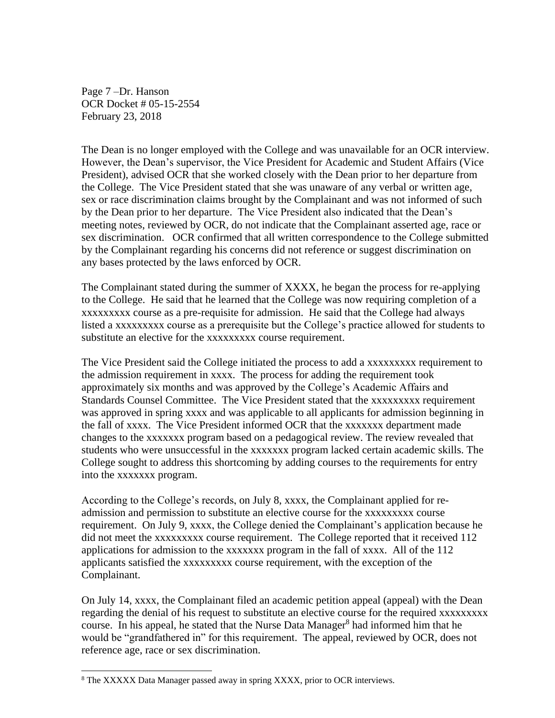Page 7 –Dr. Hanson OCR Docket # 05-15-2554 February 23, 2018

The Dean is no longer employed with the College and was unavailable for an OCR interview. However, the Dean's supervisor, the Vice President for Academic and Student Affairs (Vice President), advised OCR that she worked closely with the Dean prior to her departure from the College. The Vice President stated that she was unaware of any verbal or written age, sex or race discrimination claims brought by the Complainant and was not informed of such by the Dean prior to her departure. The Vice President also indicated that the Dean's meeting notes, reviewed by OCR, do not indicate that the Complainant asserted age, race or sex discrimination. OCR confirmed that all written correspondence to the College submitted by the Complainant regarding his concerns did not reference or suggest discrimination on any bases protected by the laws enforced by OCR.

The Complainant stated during the summer of XXXX, he began the process for re-applying to the College. He said that he learned that the College was now requiring completion of a xxxxxxxxx course as a pre-requisite for admission. He said that the College had always listed a xxxxxxxxx course as a prerequisite but the College's practice allowed for students to substitute an elective for the xxxxxxxxx course requirement.

The Vice President said the College initiated the process to add a xxxxxxxxx requirement to the admission requirement in xxxx. The process for adding the requirement took approximately six months and was approved by the College's Academic Affairs and Standards Counsel Committee. The Vice President stated that the xxxxxxxxx requirement was approved in spring xxxx and was applicable to all applicants for admission beginning in the fall of xxxx. The Vice President informed OCR that the xxxxxxx department made changes to the xxxxxxx program based on a pedagogical review. The review revealed that students who were unsuccessful in the xxxxxxx program lacked certain academic skills. The College sought to address this shortcoming by adding courses to the requirements for entry into the xxxxxxx program.

According to the College's records, on July 8, xxxx, the Complainant applied for readmission and permission to substitute an elective course for the xxxxxxxxx course requirement. On July 9, xxxx, the College denied the Complainant's application because he did not meet the xxxxxxxxx course requirement. The College reported that it received 112 applications for admission to the xxxxxxx program in the fall of xxxx. All of the 112 applicants satisfied the xxxxxxxxx course requirement, with the exception of the Complainant.

On July 14, xxxx, the Complainant filed an academic petition appeal (appeal) with the Dean regarding the denial of his request to substitute an elective course for the required xxxxxxxxx course. In his appeal, he stated that the Nurse Data Manager<sup>8</sup> had informed him that he would be "grandfathered in" for this requirement. The appeal, reviewed by OCR, does not reference age, race or sex discrimination.

 $\overline{a}$ 

<sup>8</sup> The XXXXX Data Manager passed away in spring XXXX, prior to OCR interviews.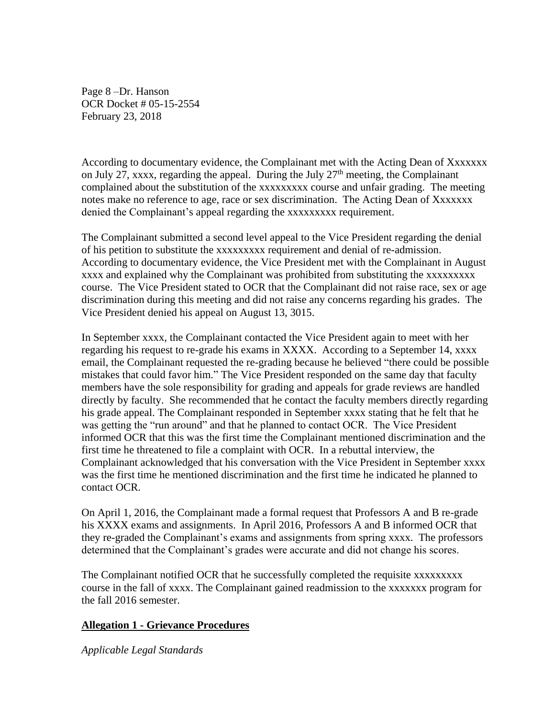Page 8 –Dr. Hanson OCR Docket # 05-15-2554 February 23, 2018

According to documentary evidence, the Complainant met with the Acting Dean of Xxxxxxx on July 27, xxxx, regarding the appeal. During the July  $27<sup>th</sup>$  meeting, the Complainant complained about the substitution of the xxxxxxxxx course and unfair grading. The meeting notes make no reference to age, race or sex discrimination. The Acting Dean of Xxxxxxx denied the Complainant's appeal regarding the xxxxxxxxx requirement.

The Complainant submitted a second level appeal to the Vice President regarding the denial of his petition to substitute the xxxxxxxxx requirement and denial of re-admission. According to documentary evidence, the Vice President met with the Complainant in August xxxx and explained why the Complainant was prohibited from substituting the xxxxxxxxx course. The Vice President stated to OCR that the Complainant did not raise race, sex or age discrimination during this meeting and did not raise any concerns regarding his grades. The Vice President denied his appeal on August 13, 3015.

In September xxxx, the Complainant contacted the Vice President again to meet with her regarding his request to re-grade his exams in XXXX. According to a September 14, xxxx email, the Complainant requested the re-grading because he believed "there could be possible mistakes that could favor him." The Vice President responded on the same day that faculty members have the sole responsibility for grading and appeals for grade reviews are handled directly by faculty. She recommended that he contact the faculty members directly regarding his grade appeal. The Complainant responded in September xxxx stating that he felt that he was getting the "run around" and that he planned to contact OCR. The Vice President informed OCR that this was the first time the Complainant mentioned discrimination and the first time he threatened to file a complaint with OCR. In a rebuttal interview, the Complainant acknowledged that his conversation with the Vice President in September xxxx was the first time he mentioned discrimination and the first time he indicated he planned to contact OCR.

On April 1, 2016, the Complainant made a formal request that Professors A and B re-grade his XXXX exams and assignments. In April 2016, Professors A and B informed OCR that they re-graded the Complainant's exams and assignments from spring xxxx. The professors determined that the Complainant's grades were accurate and did not change his scores.

The Complainant notified OCR that he successfully completed the requisite xxxxxxxxx course in the fall of xxxx. The Complainant gained readmission to the xxxxxxx program for the fall 2016 semester.

# **Allegation 1 - Grievance Procedures**

*Applicable Legal Standards*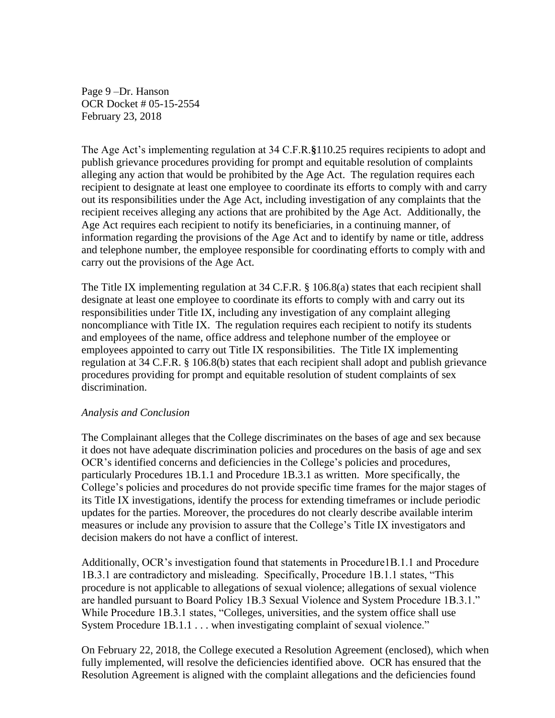Page 9 –Dr. Hanson OCR Docket # 05-15-2554 February 23, 2018

The Age Act's implementing regulation at 34 C.F.R.**§**110.25 requires recipients to adopt and publish grievance procedures providing for prompt and equitable resolution of complaints alleging any action that would be prohibited by the Age Act. The regulation requires each recipient to designate at least one employee to coordinate its efforts to comply with and carry out its responsibilities under the Age Act, including investigation of any complaints that the recipient receives alleging any actions that are prohibited by the Age Act. Additionally, the Age Act requires each recipient to notify its beneficiaries, in a continuing manner, of information regarding the provisions of the Age Act and to identify by name or title, address and telephone number, the employee responsible for coordinating efforts to comply with and carry out the provisions of the Age Act.

The Title IX implementing regulation at 34 C.F.R. § 106.8(a) states that each recipient shall designate at least one employee to coordinate its efforts to comply with and carry out its responsibilities under Title IX, including any investigation of any complaint alleging noncompliance with Title IX. The regulation requires each recipient to notify its students and employees of the name, office address and telephone number of the employee or employees appointed to carry out Title IX responsibilities. The Title IX implementing regulation at 34 C.F.R. § 106.8(b) states that each recipient shall adopt and publish grievance procedures providing for prompt and equitable resolution of student complaints of sex discrimination.

### *Analysis and Conclusion*

The Complainant alleges that the College discriminates on the bases of age and sex because it does not have adequate discrimination policies and procedures on the basis of age and sex OCR's identified concerns and deficiencies in the College's policies and procedures, particularly Procedures 1B.1.1 and Procedure 1B.3.1 as written. More specifically, the College's policies and procedures do not provide specific time frames for the major stages of its Title IX investigations, identify the process for extending timeframes or include periodic updates for the parties. Moreover, the procedures do not clearly describe available interim measures or include any provision to assure that the College's Title IX investigators and decision makers do not have a conflict of interest.

Additionally, OCR's investigation found that statements in Procedure1B.1.1 and Procedure 1B.3.1 are contradictory and misleading. Specifically, Procedure 1B.1.1 states, "This procedure is not applicable to allegations of sexual violence; allegations of sexual violence are handled pursuant to Board Policy 1B.3 Sexual Violence and System Procedure 1B.3.1." While Procedure 1B.3.1 states, "Colleges, universities, and the system office shall use System Procedure 1B.1.1 . . . when investigating complaint of sexual violence."

On February 22, 2018, the College executed a Resolution Agreement (enclosed), which when fully implemented, will resolve the deficiencies identified above. OCR has ensured that the Resolution Agreement is aligned with the complaint allegations and the deficiencies found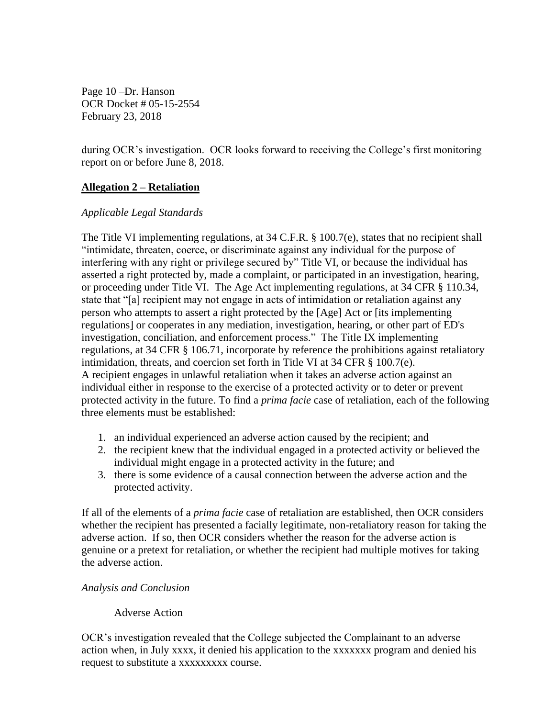Page 10 –Dr. Hanson OCR Docket # 05-15-2554 February 23, 2018

during OCR's investigation. OCR looks forward to receiving the College's first monitoring report on or before June 8, 2018.

# **Allegation 2 – Retaliation**

## *Applicable Legal Standards*

The Title VI implementing regulations, at 34 C.F.R. § 100.7(e), states that no recipient shall "intimidate, threaten, coerce, or discriminate against any individual for the purpose of interfering with any right or privilege secured by" Title VI, or because the individual has asserted a right protected by, made a complaint, or participated in an investigation, hearing, or proceeding under Title VI. The Age Act implementing regulations, at 34 CFR § 110.34, state that "[a] recipient may not engage in acts of intimidation or retaliation against any person who attempts to assert a right protected by the [Age] Act or [its implementing regulations] or cooperates in any mediation, investigation, hearing, or other part of ED's investigation, conciliation, and enforcement process." The Title IX implementing regulations, at 34 CFR § 106.71, incorporate by reference the prohibitions against retaliatory intimidation, threats, and coercion set forth in Title VI at 34 CFR § 100.7(e). A recipient engages in unlawful retaliation when it takes an adverse action against an individual either in response to the exercise of a protected activity or to deter or prevent protected activity in the future. To find a *prima facie* case of retaliation, each of the following three elements must be established:

- 1. an individual experienced an adverse action caused by the recipient; and
- 2. the recipient knew that the individual engaged in a protected activity or believed the individual might engage in a protected activity in the future; and
- 3. there is some evidence of a causal connection between the adverse action and the protected activity.

If all of the elements of a *prima facie* case of retaliation are established, then OCR considers whether the recipient has presented a facially legitimate, non-retaliatory reason for taking the adverse action. If so, then OCR considers whether the reason for the adverse action is genuine or a pretext for retaliation, or whether the recipient had multiple motives for taking the adverse action.

### *Analysis and Conclusion*

# Adverse Action

OCR's investigation revealed that the College subjected the Complainant to an adverse action when, in July xxxx, it denied his application to the xxxxxxx program and denied his request to substitute a xxxxxxxxx course.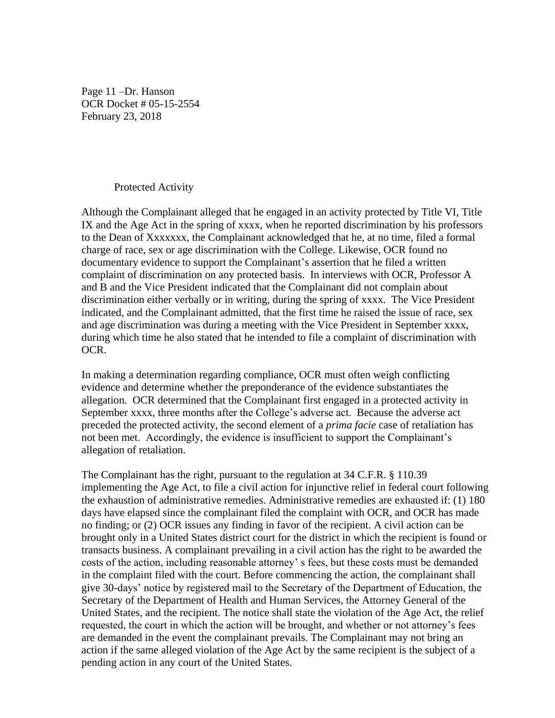Page 11 –Dr. Hanson OCR Docket # 05-15-2554 February 23, 2018

#### Protected Activity

Although the Complainant alleged that he engaged in an activity protected by Title VI, Title IX and the Age Act in the spring of xxxx, when he reported discrimination by his professors to the Dean of Xxxxxxx, the Complainant acknowledged that he, at no time, filed a formal charge of race, sex or age discrimination with the College. Likewise, OCR found no documentary evidence to support the Complainant's assertion that he filed a written complaint of discrimination on any protected basis. In interviews with OCR, Professor A and B and the Vice President indicated that the Complainant did not complain about discrimination either verbally or in writing, during the spring of xxxx. The Vice President indicated, and the Complainant admitted, that the first time he raised the issue of race, sex and age discrimination was during a meeting with the Vice President in September xxxx, during which time he also stated that he intended to file a complaint of discrimination with OCR.

In making a determination regarding compliance, OCR must often weigh conflicting evidence and determine whether the preponderance of the evidence substantiates the allegation. OCR determined that the Complainant first engaged in a protected activity in September xxxx, three months after the College's adverse act. Because the adverse act preceded the protected activity, the second element of a *prima facie* case of retaliation has not been met. Accordingly, the evidence is insufficient to support the Complainant's allegation of retaliation.

The Complainant has the right, pursuant to the regulation at 34 C.F.R. § 110.39 implementing the Age Act, to file a civil action for injunctive relief in federal court following the exhaustion of administrative remedies. Administrative remedies are exhausted if: (1) 180 days have elapsed since the complainant filed the complaint with OCR, and OCR has made no finding; or (2) OCR issues any finding in favor of the recipient. A civil action can be brought only in a United States district court for the district in which the recipient is found or transacts business. A complainant prevailing in a civil action has the right to be awarded the costs of the action, including reasonable attorney' s fees, but these costs must be demanded in the complaint filed with the court. Before commencing the action, the complainant shall give 30-days' notice by registered mail to the Secretary of the Department of Education, the Secretary of the Department of Health and Human Services, the Attorney General of the United States, and the recipient. The notice shall state the violation of the Age Act, the relief requested, the court in which the action will be brought, and whether or not attorney's fees are demanded in the event the complainant prevails. The Complainant may not bring an action if the same alleged violation of the Age Act by the same recipient is the subject of a pending action in any court of the United States.